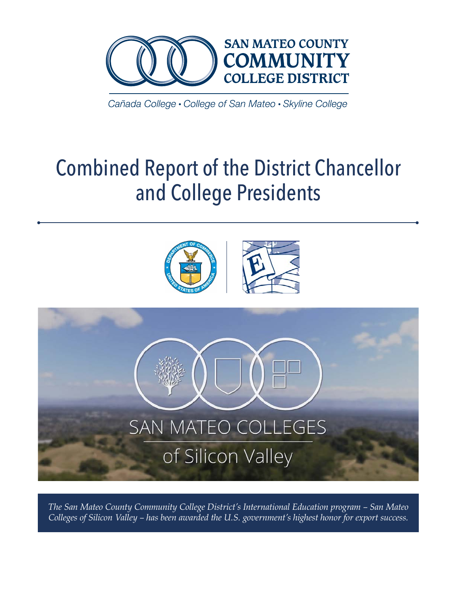

Cañada College • College of San Mateo • Skyline College

# Combined Report of the District Chancellor and College Presidents



*The San Mateo County Community College District's International Education program – San Mateo Colleges of Silicon Valley – has been awarded the U.S. government's highest honor for export success.*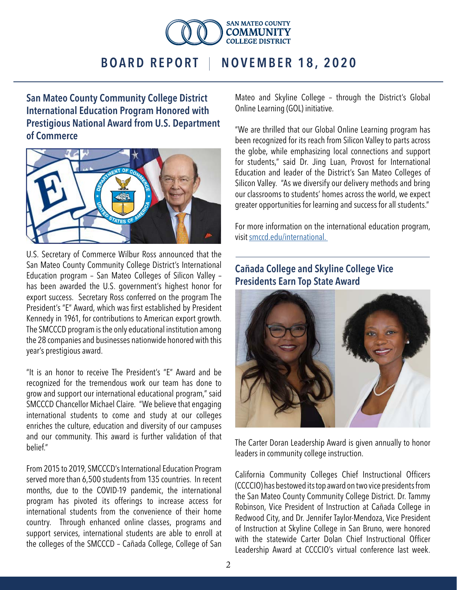

San Mateo County Community College District International Education Program Honored with Prestigious National Award from U.S. Department of Commerce



U.S. Secretary of Commerce Wilbur Ross announced that the San Mateo County Community College District's International Education program – San Mateo Colleges of Silicon Valley – has been awarded the U.S. government's highest honor for export success. Secretary Ross conferred on the program The President's "E" Award, which was first established by President Kennedy in 1961, for contributions to American export growth. The SMCCCD program is the only educational institution among the 28 companies and businesses nationwide honored with this year's prestigious award.

"It is an honor to receive The President's "E" Award and be recognized for the tremendous work our team has done to grow and support our international educational program," said SMCCCD Chancellor Michael Claire. "We believe that engaging international students to come and study at our colleges enriches the culture, education and diversity of our campuses and our community. This award is further validation of that belief."

From 2015 to 2019, SMCCCD's International Education Program served more than 6,500 students from 135 countries. In recent months, due to the COVID-19 pandemic, the international program has pivoted its offerings to increase access for international students from the convenience of their home country. Through enhanced online classes, programs and support services, international students are able to enroll at the colleges of the SMCCCD – Cañada College, College of San

Mateo and Skyline College – through the District's Global Online Learning (GOL) initiative.

"We are thrilled that our Global Online Learning program has been recognized for its reach from Silicon Valley to parts across the globe, while emphasizing local connections and support for students," said Dr. Jing Luan, Provost for International Education and leader of the District's San Mateo Colleges of Silicon Valley. "As we diversify our delivery methods and bring our classrooms to students' homes across the world, we expect greater opportunities for learning and success for all students."

For more information on the international education program, visit [smccd.edu/international.](https://smccd.edu/international/)

#### Cañada College and Skyline College Vice Presidents Earn Top State Award



The Carter Doran Leadership Award is given annually to honor leaders in community college instruction.

California Community Colleges Chief Instructional Officers (CCCCIO) has bestowed its top award on two vice presidents from the San Mateo County Community College District. Dr. Tammy Robinson, Vice President of Instruction at Cañada College in Redwood City, and Dr. Jennifer Taylor-Mendoza, Vice President of Instruction at Skyline College in San Bruno, were honored with the statewide Carter Dolan Chief Instructional Officer Leadership Award at CCCCIO's virtual conference last week.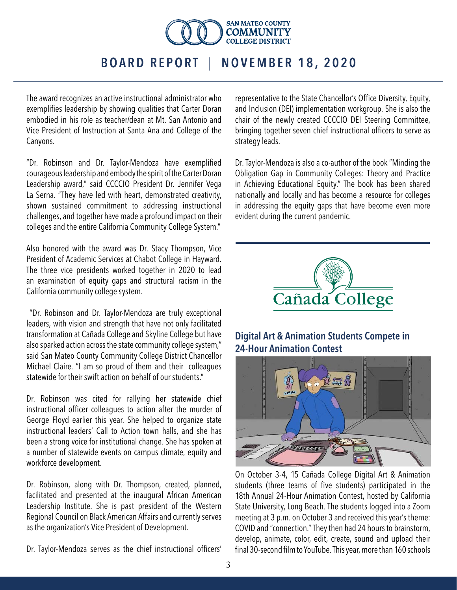

The award recognizes an active instructional administrator who exemplifies leadership by showing qualities that Carter Doran embodied in his role as teacher/dean at Mt. San Antonio and Vice President of Instruction at Santa Ana and College of the Canyons.

"Dr. Robinson and Dr. Taylor-Mendoza have exemplified courageous leadership and embody the spirit of the Carter Doran Leadership award," said CCCCIO President Dr. Jennifer Vega La Serna. "They have led with heart, demonstrated creativity, shown sustained commitment to addressing instructional challenges, and together have made a profound impact on their colleges and the entire California Community College System."

Also honored with the award was Dr. Stacy Thompson, Vice President of Academic Services at Chabot College in Hayward. The three vice presidents worked together in 2020 to lead an examination of equity gaps and structural racism in the California community college system.

 "Dr. Robinson and Dr. Taylor-Mendoza are truly exceptional leaders, with vision and strength that have not only facilitated transformation at Cañada College and Skyline College but have also sparked action across the state community college system," said San Mateo County Community College District Chancellor Michael Claire. "I am so proud of them and their colleagues statewide for their swift action on behalf of our students."

Dr. Robinson was cited for rallying her statewide chief instructional officer colleagues to action after the murder of George Floyd earlier this year. She helped to organize state instructional leaders' Call to Action town halls, and she has been a strong voice for institutional change. She has spoken at a number of statewide events on campus climate, equity and workforce development.

Dr. Robinson, along with Dr. Thompson, created, planned, facilitated and presented at the inaugural African American Leadership Institute. She is past president of the Western Regional Council on Black American Affairs and currently serves as the organization's Vice President of Development.

Dr. Taylor-Mendoza serves as the chief instructional officers'

representative to the State Chancellor's Office Diversity, Equity, and Inclusion (DEI) implementation workgroup. She is also the chair of the newly created CCCCIO DEI Steering Committee, bringing together seven chief instructional officers to serve as strategy leads.

Dr. Taylor-Mendoza is also a co-author of the book "Minding the Obligation Gap in Community Colleges: Theory and Practice in Achieving Educational Equity." The book has been shared nationally and locally and has become a resource for colleges in addressing the equity gaps that have become even more evident during the current pandemic.



#### Digital Art & Animation Students Compete in 24-Hour Animation Contest



On October 3-4, 15 Cañada College Digital Art & Animation students (three teams of five students) participated in the 18th Annual 24-Hour Animation Contest, hosted by California State University, Long Beach. The students logged into a Zoom meeting at 3 p.m. on October 3 and received this year's theme: COVID and "connection." They then had 24 hours to brainstorm, develop, animate, color, edit, create, sound and upload their final 30-second film to YouTube. This year, more than 160 schools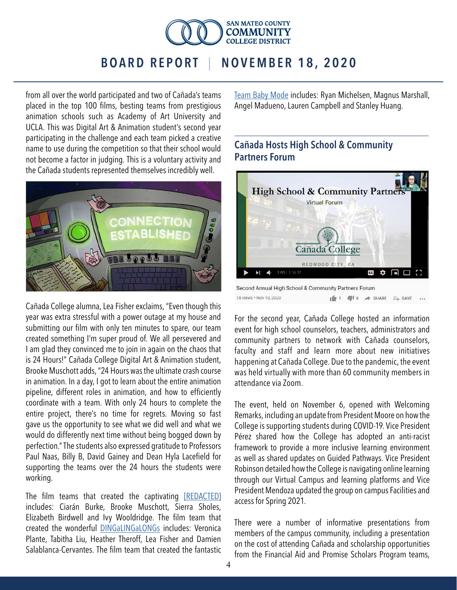

from all over the world participated and two of Cañada's teams placed in the top 100 films, besting teams from prestigious animation schools such as Academy of Art University and UCLA. This was Digital Art & Animation student's second year participating in the challenge and each team picked a creative name to use during the competition so that their school would not become a factor in judging. This is a voluntary activity and the Cañada students represented themselves incredibly well.



Cañada College alumna, Lea Fisher exclaims, "Even though this year was extra stressful with a power outage at my house and submitting our film with only ten minutes to spare, our team created something I'm super proud of. We all persevered and I am glad they convinced me to join in again on the chaos that is 24 Hours!" Cañada College Digital Art & Animation student, Brooke Muschott adds, "24 Hours was the ultimate crash course in animation. In a day, I got to learn about the entire animation pipeline, different roles in animation, and how to efficiently coordinate with a team. With only 24 hours to complete the entire project, there's no time for regrets. Moving so fast gave us the opportunity to see what we did well and what we would do differently next time without being bogged down by perfection." The students also expressed gratitude to Professors Paul Naas, Billy B, David Gainey and Dean Hyla Lacefield for supporting the teams over the 24 hours the students were working.

The film teams that created the captivating [\[REDACTED\]](https://www.youtube.com/watch?v=DS8qpF6SzL8&list=PLzBTwreIsKI2MEIpQIItDoXZX2I5vauy1&index=43) includes: Ciarán Burke, Brooke Muschott, Sierra Sholes, Elizabeth Birdwell and Ivy Wooldridge. The film team that created the wonderful [DINGaLINGaLONGs](https://www.youtube.com/watch?v=Mb5o43RCMTc&list=PLzBTwreIsKI2MEIpQIItDoXZX2I5vauy1&index=100) includes: Veronica Plante, Tabitha Liu, Heather Theroff, Lea Fisher and Damien Salablanca-Cervantes. The film team that created the fantastic

[Team Baby Mode](https://www.youtube.com/watch?v=KldeFfitmdA&list=PLzBTwreIsKI2MEIpQIItDoXZX2I5vauy1&index=137) includes: Ryan Michelsen, Magnus Marshall, Angel Madueno, Lauren Campbell and Stanley Huang.

#### Cañada Hosts High School & Community Partners Forum



Second Annual High School & Community Partners Forum 18 views · Nov 10, 2020  $m = 1$  $\blacksquare$   $\blacksquare$   $\blacksquare$   $\blacksquare$   $\blacksquare$   $\blacksquare$   $\blacksquare$   $\blacksquare$   $\blacksquare$ 

For the second year, Cañada College hosted an information event for high school counselors, teachers, administrators and community partners to network with Cañada counselors, faculty and staff and learn more about new initiatives happening at Cañada College. Due to the pandemic, the event was held virtually with more than 60 community members in attendance via Zoom.

The event, held on November 6, opened with Welcoming Remarks, including an update from President Moore on how the College is supporting students during COVID-19. Vice President Pérez shared how the College has adopted an anti-racist framework to provide a more inclusive learning environment as well as shared updates on Guided Pathways. Vice President Robinson detailed how the College is navigating online learning through our Virtual Campus and learning platforms and Vice President Mendoza updated the group on campus Facilities and access for Spring 2021.

There were a number of informative presentations from members of the campus community, including a presentation on the cost of attending Cañada and scholarship opportunities from the Financial Aid and Promise Scholars Program teams,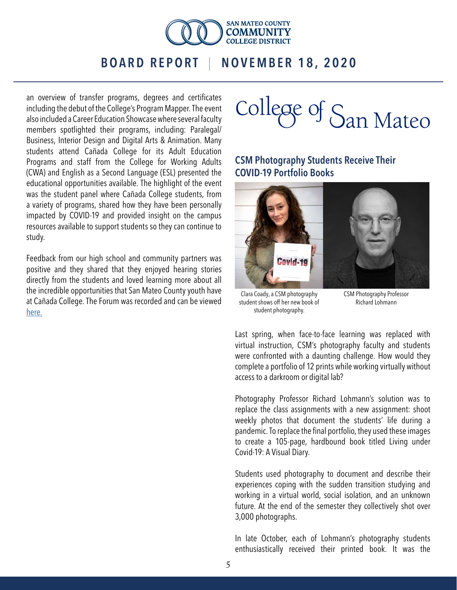

an overview of transfer programs, degrees and certificates including the debut of the College's Program Mapper. The event also included a Career Education Showcase where several faculty members spotlighted their programs, including: Paralegal/ Business, Interior Design and Digital Arts & Animation. Many students attend Cañada College for its Adult Education Programs and staff from the College for Working Adults (CWA) and English as a Second Language (ESL) presented the educational opportunities available. The highlight of the event was the student panel where Cañada College students, from a variety of programs, shared how they have been personally impacted by COVID-19 and provided insight on the campus resources available to support students so they can continue to study.

Feedback from our high school and community partners was positive and they shared that they enjoyed hearing stories directly from the students and loved learning more about all the incredible opportunities that San Mateo County youth have at Cañada College. The Forum was recorded and can be viewed [here.](https://www.youtube.com/watch?v=nqSiAAmTwO0&feature=youtu.be)

College of San Mateo

#### CSM Photography Students Receive Their COVID-19 Portfolio Books



Clara Coady, a CSM photography student shows off her new book of student photography.

CSM Photography Professor Richard Lohmann

Last spring, when face-to-face learning was replaced with virtual instruction, CSM's photography faculty and students were confronted with a daunting challenge. How would they complete a portfolio of 12 prints while working virtually without access to a darkroom or digital lab?

Photography Professor Richard Lohmann's solution was to replace the class assignments with a new assignment: shoot weekly photos that document the students' life during a pandemic. To replace the final portfolio, they used these images to create a 105-page, hardbound book titled Living under Covid-19: A Visual Diary.

Students used photography to document and describe their experiences coping with the sudden transition studying and working in a virtual world, social isolation, and an unknown future. At the end of the semester they collectively shot over 3,000 photographs.

In late October, each of Lohmann's photography students enthusiastically received their printed book. It was the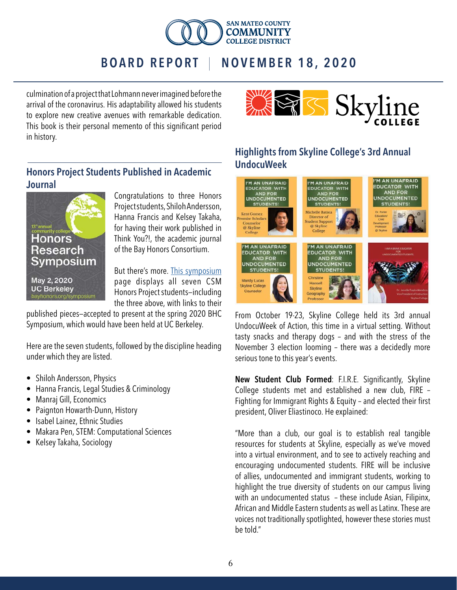

culmination of a project that Lohmann never imagined before the arrival of the coronavirus. His adaptability allowed his students to explore new creative avenues with remarkable dedication. This book is their personal memento of this significant period in history.



#### Honors Project Students Published in Academic Journal



Congratulations to three Honors Project students, Shiloh Andersson, Hanna Francis and Kelsey Takaha, for having their work published in Think You?!, the academic journal of the Bay Honors Consortium.

But there's more. [This symposium](https://thinkyou.bayhonors.org/index.php/publications/15-2020-symposium) page displays all seven CSM Honors Project students—including the three above, with links to their

published pieces—accepted to present at the spring 2020 BHC Symposium, which would have been held at UC Berkeley.

Here are the seven students, followed by the discipline heading under which they are listed.

- Shiloh Andersson, Physics
- Hanna Francis, Legal Studies & Criminology
- Manraj Gill, Economics
- Paignton Howarth-Dunn, History
- Isabel Lainez, Ethnic Studies
- Makara Pen, STEM: Computational Sciences
- Kelsey Takaha, Sociology

#### Highlights from Skyline College's 3rd Annual UndocuWeek



From October 19-23, Skyline College held its 3rd annual UndocuWeek of Action, this time in a virtual setting. Without tasty snacks and therapy dogs – and with the stress of the November 3 election looming – there was a decidedly more serious tone to this year's events.

New Student Club Formed: F.I.R.E. Significantly, Skyline College students met and established a new club, FIRE – Fighting for Immigrant Rights & Equity – and elected their first president, Oliver Eliastinoco. He explained:

"More than a club, our goal is to establish real tangible resources for students at Skyline, especially as we've moved into a virtual environment, and to see to actively reaching and encouraging undocumented students. FIRE will be inclusive of allies, undocumented and immigrant students, working to highlight the true diversity of students on our campus living with an undocumented status - these include Asian, Filipinx, African and Middle Eastern students as well as Latinx. These are voices not traditionally spotlighted, however these stories must be told."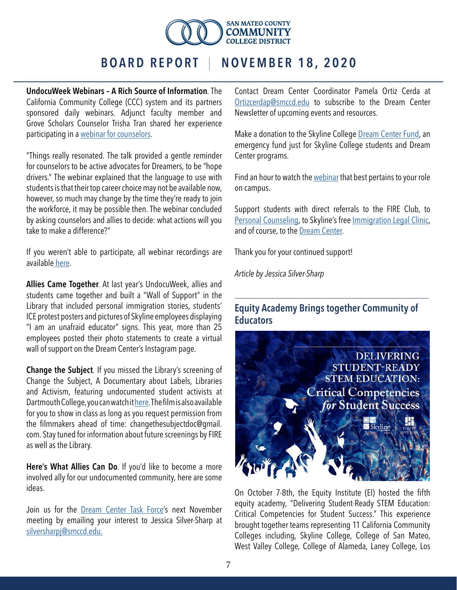

UndocuWeek Webinars – A Rich Source of Information. The California Community College (CCC) system and its partners sponsored daily webinars. Adjunct faculty member and Grove Scholars Counselor Trisha Tran shared her experience participating in a [webinar for counselors.](https://guides.skylinecollege.edu/c.php?g=279148&p=7905847)

"Things really resonated. The talk provided a gentle reminder for counselors to be active advocates for Dreamers, to be "hope drivers." The webinar explained that the language to use with students is that their top career choice may not be available now, however, so much may change by the time they're ready to join the workforce, it may be possible then. The webinar concluded by asking counselors and allies to decide: what actions will you take to make a difference?"

If you weren't able to participate, all webinar recordings are availabl[e here](https://guides.skylinecollege.edu/c.php?g=279148&p=7905847).

Allies Came Together. At last year's UndocuWeek, allies and students came together and built a "Wall of Support" in the Library that included personal immigration stories, students' ICE protest posters and pictures of Skyline employees displaying "I am an unafraid educator" signs. This year, more than 25 employees posted their photo statements to create a virtual wall of support on the Dream Center's Instagram page.

Change the Subject. If you missed the Library's screening of Change the Subject, A Documentary about Labels, Libraries and Activism, featuring undocumented student activists at Dartmouth College, you can watch it [here.](https://video.vermontpbs.org/video/change-the-subject-23nbpj/) The film is also available for you to show in class as long as you request permission from the filmmakers ahead of time: changethesubjectdoc@gmail. com. Stay tuned for information about future screenings by FIRE as well as the Library.

Here's What Allies Can Do. If you'd like to become a more involved ally for our undocumented community, here are some ideas.

Join us for the [Dream Center Task Force](https://skylineshines.skylinecollege.edu/uncategorized/dream-center-task-force-seeks-new-members/)'s next November meeting by emailing your interest to Jessica Silver-Sharp at [silversharpj@smccd.edu.](mailto:silversharpj%40smccd.edu.?subject=)

Contact Dream Center Coordinator Pamela Ortiz Cerda at [Ortizcerdap@smccd.edu](mailto:Ortizcerdap%40smccd.edu?subject=) to subscribe to the Dream Center Newsletter of upcoming events and resources.

Make a donation to the Skyline College **[Dream Center Fund](https://guides.skylinecollege.edu/c.php?g=279148&p=7991448)**, an emergency fund just for Skyline College students and Dream Center programs.

Find an hour to watch the [webinar](https://guides.skylinecollege.edu/c.php?g=279148&p=7905847) that best pertains to your role on campus.

Support students with direct referrals to the FIRE Club, to [Personal Counseling,](http://www.skylinecollege.edu/healthandwellness/personalcounseling.php) to Skyline's free *Immigration Legal Clinic*, and of course, to the [Dream Center](https://skylinecollege.edu/dreamcenter/).

Thank you for your continued support!

*Article by Jessica Silver-Sharp*

#### Equity Academy Brings together Community of **Educators**



On October 7-8th, the Equity Institute (EI) hosted the fifth equity academy, "Delivering Student-Ready STEM Education: Critical Competencies for Student Success." This experience brought together teams representing 11 California Community Colleges including, Skyline College, College of San Mateo, West Valley College, College of Alameda, Laney College, Los